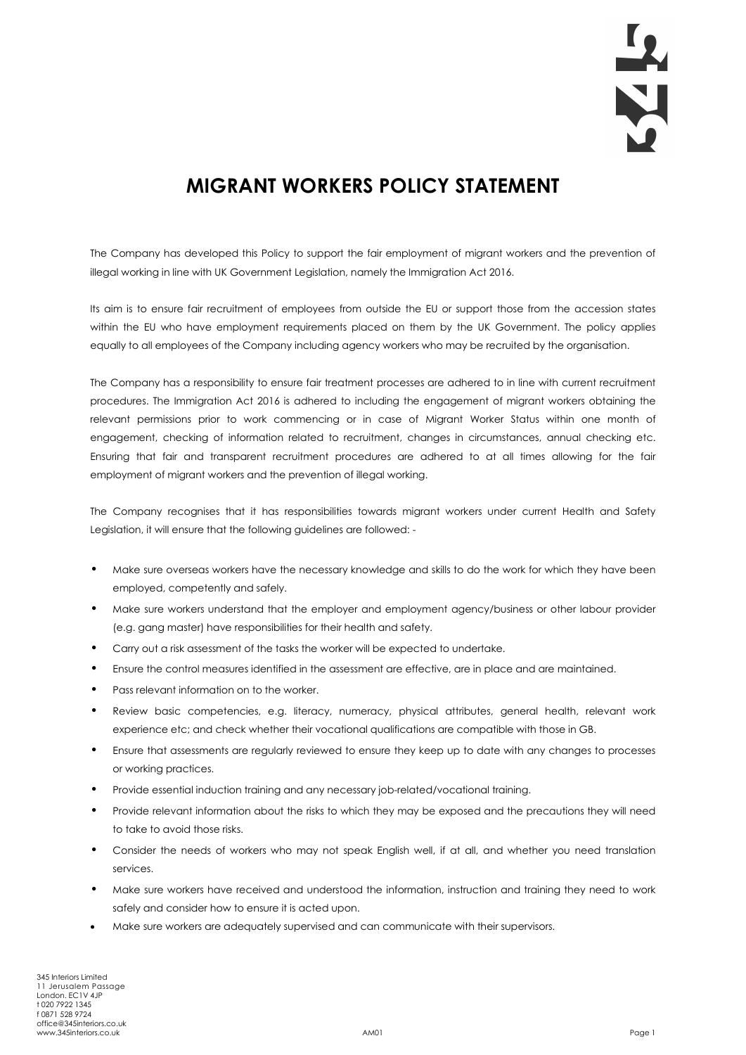## 

## MIGRANT WORKERS POLICY STATEMENT

The Company has developed this Policy to support the fair employment of migrant workers and the prevention of illegal working in line with UK Government Legislation, namely the Immigration Act 2016.

Its aim is to ensure fair recruitment of employees from outside the EU or support those from the accession states within the EU who have employment requirements placed on them by the UK Government. The policy applies equally to all employees of the Company including agency workers who may be recruited by the organisation.

The Company has a responsibility to ensure fair treatment processes are adhered to in line with current recruitment procedures. The Immigration Act 2016 is adhered to including the engagement of migrant workers obtaining the relevant permissions prior to work commencing or in case of Migrant Worker Status within one month of engagement, checking of information related to recruitment, changes in circumstances, annual checking etc. Ensuring that fair and transparent recruitment procedures are adhered to at all times allowing for the fair employment of migrant workers and the prevention of illegal working.

The Company recognises that it has responsibilities towards migrant workers under current Health and Safety Legislation, it will ensure that the following guidelines are followed: -

- Make sure overseas workers have the necessary knowledge and skills to do the work for which they have been employed, competently and safely.
- Make sure workers understand that the employer and employment agency/business or other labour provider (e.g. gang master) have responsibilities for their health and safety.
- Carry out a risk assessment of the tasks the worker will be expected to undertake.
- Ensure the control measures identified in the assessment are effective, are in place and are maintained.
- Pass relevant information on to the worker.
- Review basic competencies, e.g. literacy, numeracy, physical attributes, general health, relevant work experience etc; and check whether their vocational qualifications are compatible with those in GB.
- Ensure that assessments are regularly reviewed to ensure they keep up to date with any changes to processes or working practices.
- Provide essential induction training and any necessary job-related/vocational training.
- Provide relevant information about the risks to which they may be exposed and the precautions they will need to take to avoid those risks.
- Consider the needs of workers who may not speak English well, if at all, and whether you need translation services.
- Make sure workers have received and understood the information, instruction and training they need to work safely and consider how to ensure it is acted upon.
- Make sure workers are adequately supervised and can communicate with their supervisors.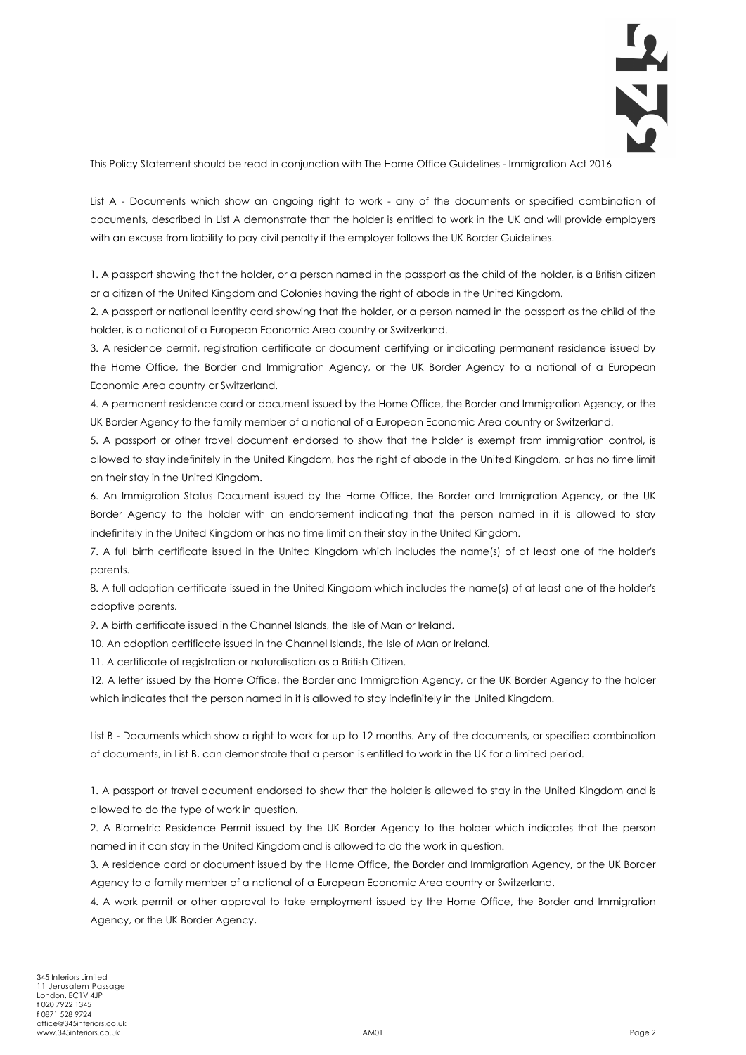

This Policy Statement should be read in conjunction with The Home Office Guidelines - Immigration Act 2016

List A - Documents which show an ongoing right to work - any of the documents or specified combination of documents, described in List A demonstrate that the holder is entitled to work in the UK and will provide employers with an excuse from liability to pay civil penalty if the employer follows the UK Border Guidelines.

1. A passport showing that the holder, or a person named in the passport as the child of the holder, is a British citizen or a citizen of the United Kingdom and Colonies having the right of abode in the United Kingdom.

2. A passport or national identity card showing that the holder, or a person named in the passport as the child of the holder, is a national of a European Economic Area country or Switzerland.

3. A residence permit, registration certificate or document certifying or indicating permanent residence issued by the Home Office, the Border and Immigration Agency, or the UK Border Agency to a national of a European Economic Area country or Switzerland.

4. A permanent residence card or document issued by the Home Office, the Border and Immigration Agency, or the UK Border Agency to the family member of a national of a European Economic Area country or Switzerland.

5. A passport or other travel document endorsed to show that the holder is exempt from immigration control, is allowed to stay indefinitely in the United Kingdom, has the right of abode in the United Kingdom, or has no time limit on their stay in the United Kingdom.

6. An Immigration Status Document issued by the Home Office, the Border and Immigration Agency, or the UK Border Agency to the holder with an endorsement indicating that the person named in it is allowed to stay indefinitely in the United Kingdom or has no time limit on their stay in the United Kingdom.

7. A full birth certificate issued in the United Kingdom which includes the name(s) of at least one of the holder's parents.

8. A full adoption certificate issued in the United Kingdom which includes the name(s) of at least one of the holder's adoptive parents.

9. A birth certificate issued in the Channel Islands, the Isle of Man or Ireland.

10. An adoption certificate issued in the Channel Islands, the Isle of Man or Ireland.

11. A certificate of registration or naturalisation as a British Citizen.

12. A letter issued by the Home Office, the Border and Immigration Agency, or the UK Border Agency to the holder which indicates that the person named in it is allowed to stay indefinitely in the United Kingdom.

List B - Documents which show a right to work for up to 12 months. Any of the documents, or specified combination of documents, in List B, can demonstrate that a person is entitled to work in the UK for a limited period.

1. A passport or travel document endorsed to show that the holder is allowed to stay in the United Kingdom and is allowed to do the type of work in question.

2. A Biometric Residence Permit issued by the UK Border Agency to the holder which indicates that the person named in it can stay in the United Kingdom and is allowed to do the work in question.

3. A residence card or document issued by the Home Office, the Border and Immigration Agency, or the UK Border Agency to a family member of a national of a European Economic Area country or Switzerland.

4. A work permit or other approval to take employment issued by the Home Office, the Border and Immigration Agency, or the UK Border Agency.